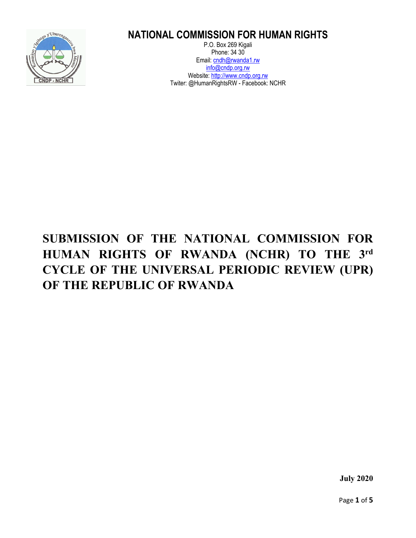

# **NATIONAL COMMISSION FOR HUMAN RIGHTS**

P.O. Box 269 Kigali Phone: 34 30 Email: [cndh@rwanda1.rw](mailto:cndh@rwanda1.rw) info@cndp.org.rw Website: [http://www.cndp.org.rw](http://www.cndp.org.rw/) Twiter: @HumanRightsRW - Facebook: NCHR

# **SUBMISSION OF THE NATIONAL COMMISSION FOR HUMAN RIGHTS OF RWANDA (NCHR) TO THE 3rd CYCLE OF THE UNIVERSAL PERIODIC REVIEW (UPR) OF THE REPUBLIC OF RWANDA**

**July 2020**

Page **1** of **5**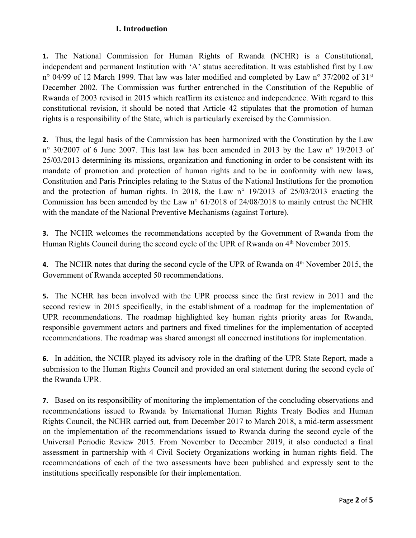### **I. Introduction**

**1.** The National Commission for Human Rights of Rwanda (NCHR) is <sup>a</sup> Constitutional, independent and permanen<sup>t</sup> Institution with 'A' status accreditation. It was established first by Law n° 04/99 of 12 March 1999. That law was later modified and completed by Law n° 37/2002 of 31<sup>st</sup> December 2002. The Commission was further entrenched in the Constitution of the Republic of Rwanda of 2003 revised in 2015 which reaffirm its existence and independence. With regard to this constitutional revision, it should be noted that Article 42 stipulates that the promotion of human rights is <sup>a</sup> responsibility of the State, which is particularly exercised by the Commission.

**2.** Thus, the legal basis of the Commission has been harmonized with the Constitution by the Law <sup>n</sup>° 30/2007 of 6 June 2007. This last law has been amended in 2013 by the Law <sup>n</sup>° 19/2013 of 25/03/2013 determining its missions, organization and functioning in order to be consistent with its mandate of promotion and protection of human rights and to be in conformity with new laws, Constitution and Paris Principles relating to the Status of the National Institutions for the promotion and the protection of human rights. In 2018, the Law <sup>n</sup>° 19/2013 of 25/03/2013 enacting the Commission has been amended by the Law <sup>n</sup>° 61/2018 of 24/08/2018 to mainly entrust the NCHR with the mandate of the National Preventive Mechanisms (against Torture).

**3.** The NCHR welcomes the recommendations accepted by the Government of Rwanda from the Human Rights Council during the second cycle of the UPR of Rwanda on 4<sup>th</sup> November 2015.

**4.** The NCHR notes that during the second cycle of the UPR of Rwanda on 4<sup>th</sup> November 2015, the Government of Rwanda accepted 50 recommendations.

**5.** The NCHR has been involved with the UPR process since the first review in 2011 and the second review in 2015 specifically, in the establishment of <sup>a</sup> roadmap for the implementation of UPR recommendations. The roadmap highlighted key human rights priority areas for Rwanda, responsible governmen<sup>t</sup> actors and partners and fixed timelines for the implementation of accepted recommendations. The roadmap was shared amongs<sup>t</sup> all concerned institutions for implementation.

**6.** In addition, the NCHR played its advisory role in the drafting of the UPR State Report, made <sup>a</sup> submission to the Human Rights Council and provided an oral statement during the second cycle of the Rwanda UPR.

**7.** Based on its responsibility of monitoring the implementation of the concluding observations and recommendations issued to Rwanda by International Human Rights Treaty Bodies and Human Rights Council, the NCHR carried out, from December 2017 to March 2018, <sup>a</sup> mid-term assessment on the implementation of the recommendations issued to Rwanda during the second cycle of the Universal Periodic Review 2015. From November to December 2019, it also conducted <sup>a</sup> final assessment in partnership with 4 Civil Society Organizations working in human rights field. The recommendations of each of the two assessments have been published and expressly sent to the institutions specifically responsible for their implementation.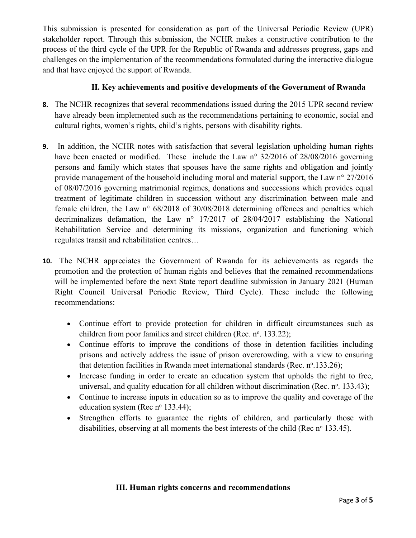This submission is presented for consideration as par<sup>t</sup> of the Universal Periodic Review (UPR) stakeholder report. Through this submission, the NCHR makes <sup>a</sup> constructive contribution to the process of the third cycle of the UPR for the Republic of Rwanda and addresses progress, gaps and challenges on the implementation of the recommendations formulated during the interactive dialogue and that have enjoyed the suppor<sup>t</sup> of Rwanda.

# **II. Key achievements and positive developments of the Government of Rwanda**

- **8.** The NCHR recognizes that several recommendations issued during the 2015 UPR second review have already been implemented such as the recommendations pertaining to economic, social and cultural rights, women'<sup>s</sup> rights, child'<sup>s</sup> rights, persons with disability rights.
- **9.** In addition, the NCHR notes with satisfaction that several legislation upholding human rights have been enacted or modified. These include the Law n° 32/2016 of 28/08/2016 governing persons and family which states that spouses have the same rights and obligation and jointly provide managemen<sup>t</sup> of the household including moral and material support, the Law <sup>n</sup>° 27/2016 of 08/07/2016 governing matrimonial regimes, donations and successions which provides equal treatment of legitimate children in succession without any discrimination between male and female children, the Law <sup>n</sup>° 68/2018 of 30/08/2018 determining offences and penalties which decriminalizes defamation, the Law <sup>n</sup>° 17/2017 of 28/04/2017 establishing the National Rehabilitation Service and determining its missions, organization and functioning which regulates transit and rehabilitation centres…
- **10.** The NCHR appreciates the Government of Rwanda for its achievements as regards the promotion and the protection of human rights and believes that the remained recommendations will be implemented before the next State repor<sup>t</sup> deadline submission in January 2021 (Human Right Council Universal Periodic Review, Third Cycle). These include the following recommendations:
	- Continue effort to provide protection for children in difficult circumstances such as children from poor families and street children (Rec. n°. 133.22);
	- Continue efforts to improve the conditions of those in detention facilities including prisons and actively address the issue of prison overcrowding, with <sup>a</sup> view to ensuring that detention facilities in Rwanda meet international standards (Rec. nº.133.26);
	- Increase funding in order to create an education system that upholds the right to free, universal, and quality education for all children without discrimination (Rec. n°. 133.43);
	- Continue to increase inputs in education so as to improve the quality and coverage of the education system (Rec nº 133.44);
	- Strengthen efforts to guarantee the rights of children, and particularly those with disabilities, observing at all moments the best interests of the child (Rec  $n^{\circ}$  133.45).

### **III. Human rights concerns and recommendations**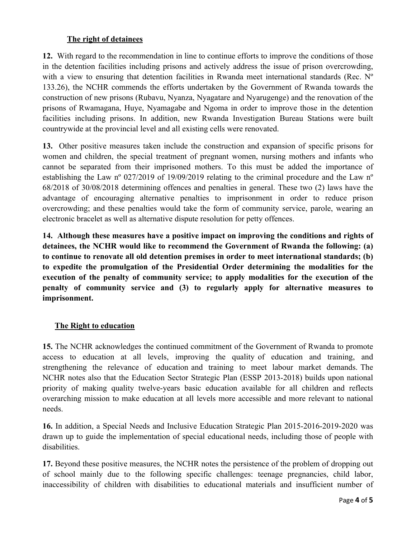#### **The right of detainees**

**12.** With regard to the recommendation in line to continue efforts to improve the conditions of those in the detention facilities including prisons and actively address the issue of prison overcrowding, with a view to ensuring that detention facilities in Rwanda meet international standards (Rec. N° 133.26), the NCHR commends the efforts undertaken by the Government of Rwanda towards the construction of new prisons (Rubavu, Nyanza, Nyagatare and Nyarugenge) and the renovation of the prisons of Rwamagana, Huye, Nyamagabe and Ngoma in order to improve those in the detention facilities including prisons. In addition, new Rwanda Investigation Bureau Stations were built countrywide at the provincial level and all existing cells were renovated.

**13.** Other positive measures taken include the construction and expansion of specific prisons for women and children, the special treatment of pregnan<sup>t</sup> women, nursing mothers and infants who cannot be separated from their imprisoned mothers. To this must be added the importance of establishing the Law <sup>n</sup><sup>º</sup> 027/2019 of 19/09/2019 relating to the criminal procedure and the Law <sup>n</sup><sup>º</sup> 68/2018 of 30/08/2018 determining offences and penalties in general. These two (2) laws have the advantage of encouraging alternative penalties to imprisonment in order to reduce prison overcrowding; and these penalties would take the form of community service, parole, wearing an electronic bracelet as well as alternative dispute resolution for petty offences.

**14. Although these measures have <sup>a</sup> positive impact on improving the conditions and rights of detainees, the NCHR would like to recommend the Government of Rwanda the following: (a) to continue to renovate all old detention premises in order to meet international standards; (b) to expedite the promulgation of the Presidential Order determining the modalities for the execution of the penalty of community service; to apply modalities for the execution of the penalty of community service and (3) to regularly apply for alternative measures to imprisonment.**

#### **The Right to education**

**15.** The NCHR acknowledges the continued commitment of the Government of Rwanda to promote access to education at all levels, improving the quality of education and training, and strengthening the relevance of education and training to meet labour market demands. The NCHR notes also that the Education Sector Strategic Plan (ESSP 2013-2018) builds upon national priority of making quality twelve-years basic education available for all children and reflects overarching mission to make education at all levels more accessible and more relevant to national needs.

**16.** In addition, <sup>a</sup> Special Needs and Inclusive Education Strategic Plan 2015-2016-2019-2020 was drawn up to guide the implementation of special educational needs, including those of people with disabilities.

**17.** Beyond these positive measures, the NCHR notes the persistence of the problem of dropping out of school mainly due to the following specific challenges: teenage pregnancies, child labor, inaccessibility of children with disabilities to educational materials and insufficient number of